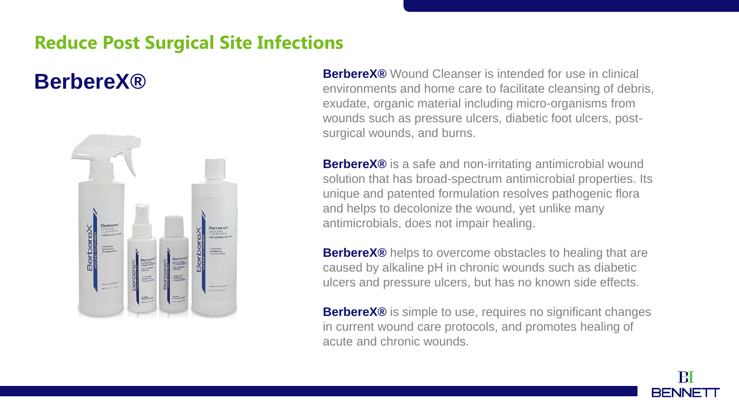## **Reduce Post Surgical Site Infections**

## **BerbereX®**



**BerbereX®** Wound Cleanser is intended for use in clinical environments and home care to facilitate cleansing of debris, exudate, organic material including micro-organisms from wounds such as pressure ulcers, diabetic foot ulcers, postsurgical wounds, and burns.

**BerbereX®** is a safe and non-irritating antimicrobial wound solution that has broad-spectrum antimicrobial properties. Its unique and patented formulation resolves pathogenic flora and helps to decolonize the wound, yet unlike many antimicrobials, does not impair healing.

**BerbereX®** helps to overcome obstacles to healing that are caused by alkaline pH in chronic wounds such as diabetic ulcers and pressure ulcers, but has no known side effects.

**BerbereX®** is simple to use, requires no significant changes in current wound care protocols, and promotes healing of acute and chronic wounds.

Ĥ

**BENNE**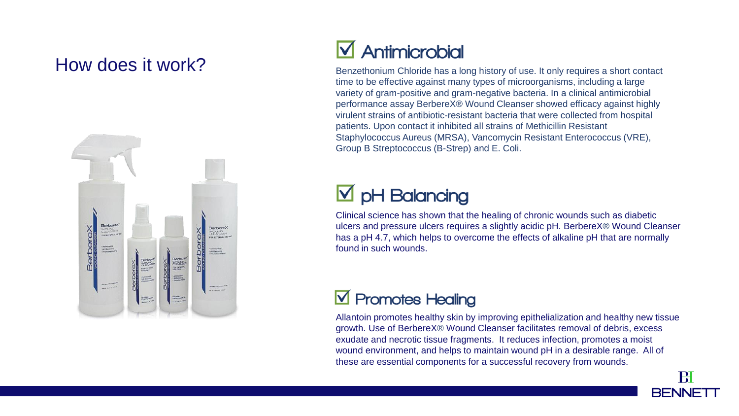### How does it work?



# Antimicrobial

Benzethonium Chloride has a long history of use. It only requires a short contact time to be effective against many types of microorganisms, including a large variety of gram-positive and gram-negative bacteria. In a clinical antimicrobial performance assay BerbereX® Wound Cleanser showed efficacy against highly virulent strains of antibiotic-resistant bacteria that were collected from hospital patients. Upon contact it inhibited all strains of Methicillin Resistant Staphylococcus Aureus (MRSA), Vancomycin Resistant Enterococcus (VRE), Group B Streptococcus (B-Strep) and E. Coli.

## $\boxtimes$  pH Balancing

Clinical science has shown that the healing of chronic wounds such as diabetic ulcers and pressure ulcers requires a slightly acidic pH. BerbereX® Wound Cleanser has a pH 4.7, which helps to overcome the effects of alkaline pH that are normally found in such wounds.

## **V** Promotes Healing

Allantoin promotes healthy skin by improving epithelialization and healthy new tissue growth. Use of BerbereX® Wound Cleanser facilitates removal of debris, excess exudate and necrotic tissue fragments. It reduces infection, promotes a moist wound environment, and helps to maintain wound pH in a desirable range. All of these are essential components for a successful recovery from wounds.

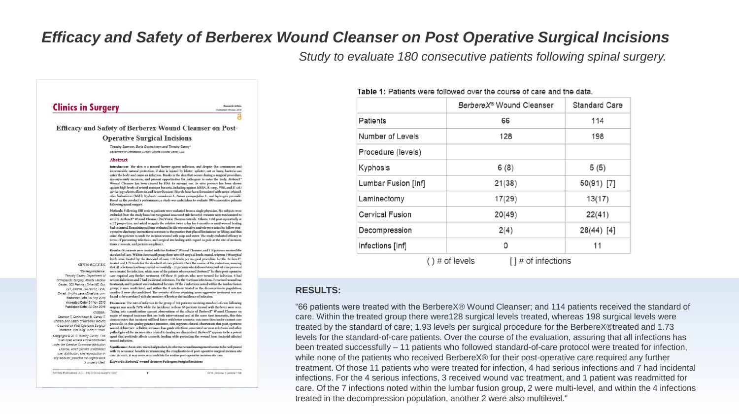#### *Efficacy and Safety of Berberex Wound Cleanser on Post Operative Surgical Incisions*

*Study to evaluate 180 consecutive patients following spinal surgery.* 

| <b>Clinics in Surgery</b>                                                                                                             | Published: 05 Dec, 2016                                                                                                                                                                                                                                                                                                                                                                                                                                                                                                                                                                                                                                                                                                                                                                                                                                                                                                                                  |           |
|---------------------------------------------------------------------------------------------------------------------------------------|----------------------------------------------------------------------------------------------------------------------------------------------------------------------------------------------------------------------------------------------------------------------------------------------------------------------------------------------------------------------------------------------------------------------------------------------------------------------------------------------------------------------------------------------------------------------------------------------------------------------------------------------------------------------------------------------------------------------------------------------------------------------------------------------------------------------------------------------------------------------------------------------------------------------------------------------------------|-----------|
|                                                                                                                                       |                                                                                                                                                                                                                                                                                                                                                                                                                                                                                                                                                                                                                                                                                                                                                                                                                                                                                                                                                          |           |
|                                                                                                                                       | <b>Efficacy and Safety of Berberex Wound Cleanser on Post-</b>                                                                                                                                                                                                                                                                                                                                                                                                                                                                                                                                                                                                                                                                                                                                                                                                                                                                                           |           |
|                                                                                                                                       | <b>Operative Surgical Incisions</b>                                                                                                                                                                                                                                                                                                                                                                                                                                                                                                                                                                                                                                                                                                                                                                                                                                                                                                                      |           |
|                                                                                                                                       | Timothy Spencer, Borls Gorinshaeyn and Timothy Ganey*<br>Department of Orthopsedic Surgery, Atlanta Medical Center, USA                                                                                                                                                                                                                                                                                                                                                                                                                                                                                                                                                                                                                                                                                                                                                                                                                                  |           |
|                                                                                                                                       | Abstract                                                                                                                                                                                                                                                                                                                                                                                                                                                                                                                                                                                                                                                                                                                                                                                                                                                                                                                                                 |           |
|                                                                                                                                       | Introduction: The skin is a natural barrier against infection, and despite this continuous and<br>impermeable natural protection, if skin is injured by blister, splinter, cut or burn, bacteria can<br>enter the body and cause an infection. Breaks in the skin that occurs during a surgical procedure,<br>synonymously incisions, and present opportunities for pathogens to enter the body. BerbereX*<br>Wound Cleanser has been cleared by FDA for external use. In vitro potency has been shown<br>against high levels of several resistant bacteria, including against MRSA, B-strep, VRE, and E. col.i<br>Active ingredients allantoin and benzethonium chloride have been formulated with water, ethanol,<br>Aloe barbadensis (Mill.), Hydrastis canadensis L., Panax quinquefolius L., and hydrogen peroxide.<br>Based on the product's performance, a study was undertaken to evaluate 180 consecutive patients<br>following spinal surgery. |           |
|                                                                                                                                       | Methods: Following IRB review, patients were evaluated from a single physician. No subjects were<br>excluded from the study based on recognized associated risk factor(s). Patients were randomized to<br>receive BerbereX® Wound Cleanser (NuVision Pharmaceuticals, Atlanta, GA) post-operatively at<br>a 1:2 proportion, and asked to apply the solution twice a day for 6 months or until wound healing<br>had occurred. Remaining patients evaluated in this retrospective analysis were asked to follow post-<br>operative discharge instructions common to the practice that placed limitations on lifting, and that<br>asked the patients to wash the incision wound with soap and water. The study evaluated efficacy in<br>terms of preventing infections, and surgical site healing with regard to pain at the site of incision,<br>tissue cosmesis, and patient compliance.                                                                  |           |
| <b>OPEN ACCESS</b><br>"Correspondence:<br>Timothy Ganey, Department of<br>Orthopaedic Surgery, Atlanta Medical                        | Results: 66 patients were treated with the BerbereX* Wound Cleanser; and 114 patients received the<br>standard of care. Within the treated group there were 128 surgical levels treated, whereas 198 surgical<br>levels were treated by the standard of care; 1.93 levels per surgical procedure for the BerbereX*-<br>treated and 1.73 levels for the standard-of-care patients. Over the course of the evaluation, assuring<br>that all infections has been treated successfully - 11 patients who followed standard-of-care protocol<br>were treated for infection, while none of the patients who received BerbereX* for their post-operative<br>care required any further treatment. Of those 11 patients who were treated for infection, 4 had<br>serious infections and 7 had incidental infections. For the 4 serious infections, 3 received wound vac                                                                                           |           |
| Center, 303 Parkway Drive NE. Box<br>227, Atlanta, GA 30312, USA.<br>E-mail: timothy.ganey@wellstar.com<br>Received Date: 09 Sep 2016 | treatment, and 1 patient was readmitted for care. Of the 7 infections noted within the lumbar fusion<br>group, 2 were multi-level, and within the 4 infections treated in the decompression population,<br>another 2 were also multilevel. The severity of those requiring more aggressive treatment was not<br>found to be correlated with the number of levels or the incidence of infection.                                                                                                                                                                                                                                                                                                                                                                                                                                                                                                                                                          | <b>RF</b> |
| Accepted Date: 21 Nov 2010<br>Published Date: 05 Dec 2016<br>Ciration-                                                                | Discussion: The rate of infection in the group of 144 patients receiving standard-of-care following<br>surgery was nearly 7.6% while the incidence in those 66 patients treated with Berberex were zero.<br>Taking into consideration current observations of the effects of BerbereX* Wound Cleanser on                                                                                                                                                                                                                                                                                                                                                                                                                                                                                                                                                                                                                                                 | "66       |
| Spencer T, Gorinshteyn B, Ganey T.<br>Efficacy and Safety of Berberex Wound<br>Cleanser on Post-Operative Surgical                    | repair of surgical incisions that are both interventional and at the same time traumatic, this data<br>demonstrates that incisions will heal faster with better cosmetic outcomes then under current care<br>protocols. In this quality practice initiative, data supports clinical observation that post-operative                                                                                                                                                                                                                                                                                                                                                                                                                                                                                                                                                                                                                                      | ca<br>tre |
| Incisions. Clin Surg. 2010; 1: 1190.<br>Copyright @ 2010 Timothy Ganey. This<br>Is an open access article distributed                 | wound dehiscence, cellulitis, seromas, low-grade infections, associated incision infections and other<br>pathologies of the incision sites related to healing are diminished. BerbereX* appears to be a potent<br>agent that positively affects cosmetic healing while protecting the wound from bacterial-affected<br>wound infection.                                                                                                                                                                                                                                                                                                                                                                                                                                                                                                                                                                                                                  | lev       |
| under the Creative Commons Attribution<br>License, which permits unrestricted<br>use, distribution, and reproduction in               | Significance: As an anti-microbial product, its effective wound management seems to be well paired<br>with its economic benefits in minimizing the complications of post-operative surgical incision site                                                                                                                                                                                                                                                                                                                                                                                                                                                                                                                                                                                                                                                                                                                                                | be        |
| any medium, provided the original work<br>is properly cited.                                                                          | care. As such, it may serve as a candidate for routine post-operative incision site care.<br>Keywords: BerbereX' wound cleanser; Pathogens; Surgical incisions                                                                                                                                                                                                                                                                                                                                                                                                                                                                                                                                                                                                                                                                                                                                                                                           | wh        |
| Remedy Publications LLC.,   http://clnicsinsurgery.com/                                                                               | 1<br>2016   Volume 1   Article 1196                                                                                                                                                                                                                                                                                                                                                                                                                                                                                                                                                                                                                                                                                                                                                                                                                                                                                                                      | tre       |

| <b>Table 1:</b> Patients were followed over the course of care and the data. |  |  |  |
|------------------------------------------------------------------------------|--|--|--|
|------------------------------------------------------------------------------|--|--|--|

|                     | BerbereX® Wound Cleanser               | <b>Standard Care</b> |
|---------------------|----------------------------------------|----------------------|
| <b>Patients</b>     | 66                                     | 114                  |
| Number of Levels    | 128                                    | 198                  |
| Procedure (levels)  |                                        |                      |
| Kyphosis            | 6(8)                                   | 5(5)                 |
| Lumbar Fusion [Inf] | 21(38)                                 | 50(91) [7]           |
| Laminectomy         | 17(29)                                 | 13(17)               |
| Cervical Fusion     | 20(49)                                 | 22(41)               |
| Decompression       | 2(4)                                   | 28(44) [4]           |
| Infections [Inf]    | 0                                      | 11                   |
|                     | $( )$ # of levels<br>[]# of infections |                      |

#### **RESULTS:**

"66 patients were treated with the BerbereX® Wound Cleanser; and 114 patients received the standard of re. Within the treated group there were128 surgical levels treated, whereas 198 surgical levels were eated by the standard of care; 1.93 levels per surgical procedure for the BerbereX®treated and 1.73 levels for the standard-of-care patients. Over the course of the evaluation, assuring that all infections has en treated successfully – 11 patients who followed standard-of-care protocol were treated for infection, hile none of the patients who received BerbereX® for their post-operative care required any further eatment. Of those 11 patients who were treated for infection, 4 had serious infections and 7 had incidental ections. For the 4 serious infections, 3 received wound vac treatment, and 1 patient was readmitted for re. Of the 7 infections noted within the lumbar fusion group, 2 were multi-level, and within the 4 infections treated in the decompression population, another 2 were also multilevel."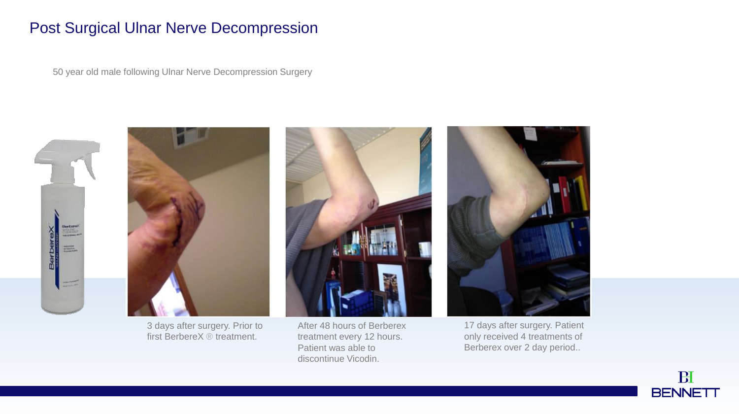#### Post Surgical Ulnar Nerve Decompression

50 year old male following Ulnar Nerve Decompression Surgery





3 days after surgery. Prior to first BerbereX ® treatment.



After 48 hours of Berberex treatment every 12 hours. Patient was able to discontinue Vicodin.



17 days after surgery. Patient only received 4 treatments of Berberex over 2 day period..

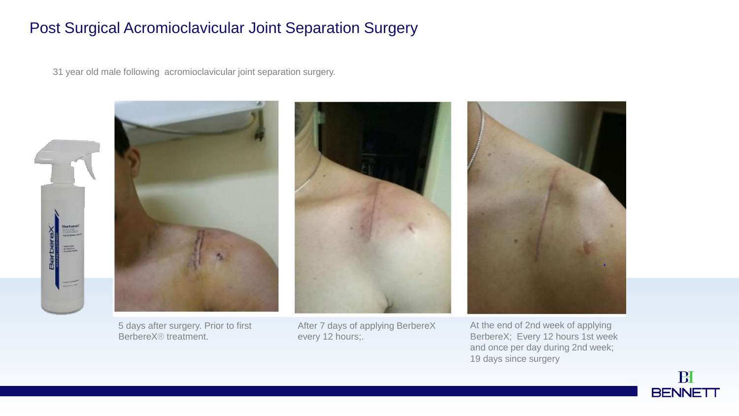#### Post Surgical Acromioclavicular Joint Separation Surgery

31 year old male following acromioclavicular joint separation surgery.





5 days after surgery. Prior to first BerbereX® treatment.



After 7 days of applying BerbereX every 12 hours;.



At the end of 2nd week of applying BerbereX; Every 12 hours 1st week and once per day during 2nd week; 19 days since surgery

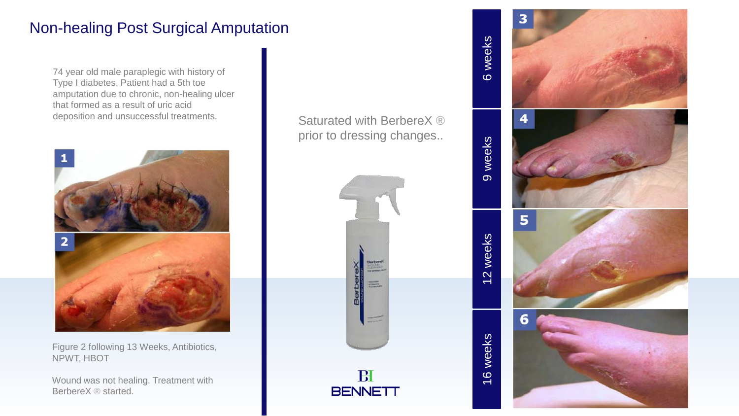### Non-healing Post Surgical Amputation

74 year old male paraplegic with history of Type I diabetes. Patient had a 5th toe amputation due to chronic, non-healing ulcer that formed as a result of uric acid deposition and unsuccessful treatments.<br>
Saturated with BerbereX ®



Figure 2 following 13 Weeks, Antibiotics, NPWT, HBOT

Wound was not healing. Treatment with BerbereX ® started.

prior to dressing changes..